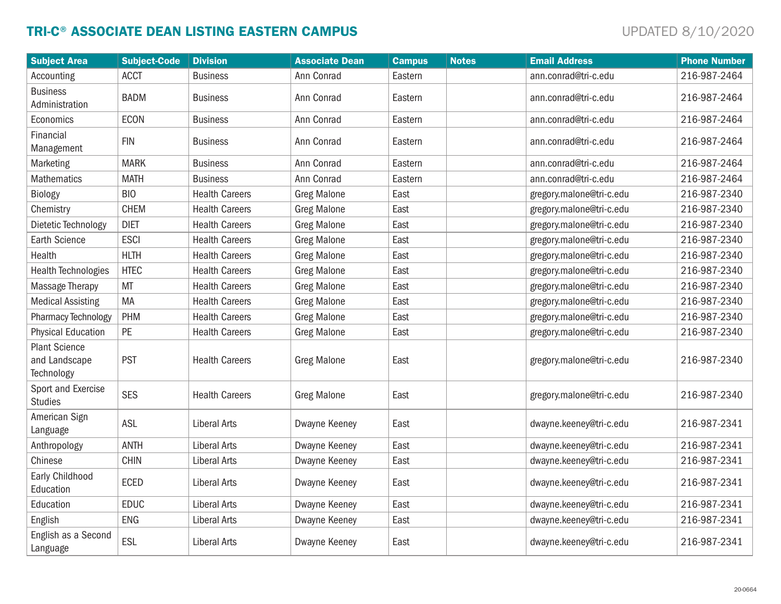# TRI-C® ASSOCIATE DEAN LISTING EASTERN CAMPUS **Example 1** and the set of the set of the set of the set of the set of the set of the set of the set of the set of the set of the set of the set of the set of the set of the set

| <b>Subject Area</b>                                 | <b>Subject-Code</b> | <b>Division</b>       | <b>Associate Dean</b> | <b>Campus</b> | <b>Notes</b> | <b>Email Address</b>     | <b>Phone Number</b> |
|-----------------------------------------------------|---------------------|-----------------------|-----------------------|---------------|--------------|--------------------------|---------------------|
| Accounting                                          | <b>ACCT</b>         | <b>Business</b>       | Ann Conrad            | Eastern       |              | ann.conrad@tri-c.edu     | 216-987-2464        |
| <b>Business</b><br>Administration                   | <b>BADM</b>         | <b>Business</b>       | Ann Conrad            | Eastern       |              | ann.conrad@tri-c.edu     | 216-987-2464        |
| Economics                                           | <b>ECON</b>         | <b>Business</b>       | Ann Conrad            | Eastern       |              | ann.conrad@tri-c.edu     | 216-987-2464        |
| Financial<br>Management                             | <b>FIN</b>          | <b>Business</b>       | Ann Conrad            | Eastern       |              | ann.conrad@tri-c.edu     | 216-987-2464        |
| Marketing                                           | <b>MARK</b>         | <b>Business</b>       | Ann Conrad            | Eastern       |              | ann.conrad@tri-c.edu     | 216-987-2464        |
| <b>Mathematics</b>                                  | <b>MATH</b>         | <b>Business</b>       | Ann Conrad            | Eastern       |              | ann.conrad@tri-c.edu     | 216-987-2464        |
| Biology                                             | <b>BIO</b>          | <b>Health Careers</b> | <b>Greg Malone</b>    | East          |              | gregory.malone@tri-c.edu | 216-987-2340        |
| Chemistry                                           | <b>CHEM</b>         | <b>Health Careers</b> | <b>Greg Malone</b>    | East          |              | gregory.malone@tri-c.edu | 216-987-2340        |
| Dietetic Technology                                 | <b>DIET</b>         | <b>Health Careers</b> | <b>Greg Malone</b>    | East          |              | gregory.malone@tri-c.edu | 216-987-2340        |
| <b>Earth Science</b>                                | <b>ESCI</b>         | <b>Health Careers</b> | <b>Greg Malone</b>    | East          |              | gregory.malone@tri-c.edu | 216-987-2340        |
| Health                                              | <b>HLTH</b>         | <b>Health Careers</b> | <b>Greg Malone</b>    | East          |              | gregory.malone@tri-c.edu | 216-987-2340        |
| <b>Health Technologies</b>                          | <b>HTEC</b>         | <b>Health Careers</b> | <b>Greg Malone</b>    | East          |              | gregory.malone@tri-c.edu | 216-987-2340        |
| Massage Therapy                                     | <b>MT</b>           | <b>Health Careers</b> | <b>Greg Malone</b>    | East          |              | gregory.malone@tri-c.edu | 216-987-2340        |
| <b>Medical Assisting</b>                            | MA                  | <b>Health Careers</b> | <b>Greg Malone</b>    | East          |              | gregory.malone@tri-c.edu | 216-987-2340        |
| Pharmacy Technology                                 | PHM                 | <b>Health Careers</b> | <b>Greg Malone</b>    | East          |              | gregory.malone@tri-c.edu | 216-987-2340        |
| <b>Physical Education</b>                           | PE                  | <b>Health Careers</b> | <b>Greg Malone</b>    | East          |              | gregory.malone@tri-c.edu | 216-987-2340        |
| <b>Plant Science</b><br>and Landscape<br>Technology | <b>PST</b>          | <b>Health Careers</b> | <b>Greg Malone</b>    | East          |              | gregory.malone@tri-c.edu | 216-987-2340        |
| Sport and Exercise<br><b>Studies</b>                | <b>SES</b>          | <b>Health Careers</b> | <b>Greg Malone</b>    | East          |              | gregory.malone@tri-c.edu | 216-987-2340        |
| American Sign<br>Language                           | ASL                 | <b>Liberal Arts</b>   | Dwayne Keeney         | East          |              | dwayne.keeney@tri-c.edu  | 216-987-2341        |
| Anthropology                                        | <b>ANTH</b>         | <b>Liberal Arts</b>   | Dwayne Keeney         | East          |              | dwayne.keeney@tri-c.edu  | 216-987-2341        |
| Chinese                                             | <b>CHIN</b>         | <b>Liberal Arts</b>   | Dwayne Keeney         | East          |              | dwayne.keeney@tri-c.edu  | 216-987-2341        |
| Early Childhood<br>Education                        | <b>ECED</b>         | <b>Liberal Arts</b>   | Dwayne Keeney         | East          |              | dwayne.keeney@tri-c.edu  | 216-987-2341        |
| Education                                           | <b>EDUC</b>         | <b>Liberal Arts</b>   | Dwayne Keeney         | East          |              | dwayne.keeney@tri-c.edu  | 216-987-2341        |
| English                                             | ENG                 | <b>Liberal Arts</b>   | Dwayne Keeney         | East          |              | dwayne.keeney@tri-c.edu  | 216-987-2341        |
| English as a Second<br>Language                     | ESL                 | <b>Liberal Arts</b>   | Dwayne Keeney         | East          |              | dwayne.keeney@tri-c.edu  | 216-987-2341        |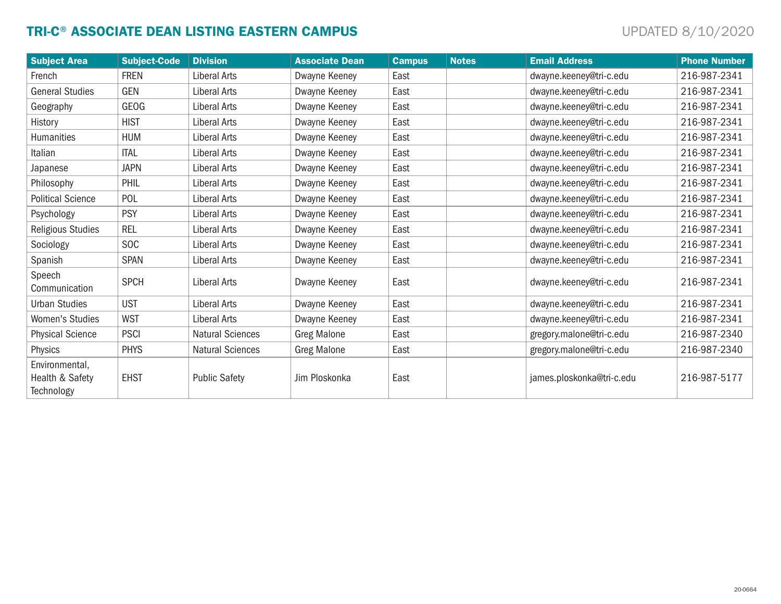# TRI-C® ASSOCIATE DEAN LISTING EASTERN CAMPUS **Example 1** and the set of the state of the state of the state of the state of the state of the state of the state of the state of the state of the state of the state of the sta

| <b>Subject Area</b>                             | <b>Subject-Code</b> | <b>Division</b>         | <b>Associate Dean</b> | <b>Campus</b> | <b>Notes</b> | <b>Email Address</b>      | <b>Phone Number</b> |
|-------------------------------------------------|---------------------|-------------------------|-----------------------|---------------|--------------|---------------------------|---------------------|
| French                                          | <b>FREN</b>         | <b>Liberal Arts</b>     | Dwayne Keeney         | East          |              | dwayne.keeney@tri-c.edu   | 216-987-2341        |
| <b>General Studies</b>                          | <b>GEN</b>          | <b>Liberal Arts</b>     | Dwayne Keeney         | East          |              | dwayne.keeney@tri-c.edu   | 216-987-2341        |
| Geography                                       | GEOG                | Liberal Arts            | Dwayne Keeney         | East          |              | dwayne.keeney@tri-c.edu   | 216-987-2341        |
| History                                         | <b>HIST</b>         | <b>Liberal Arts</b>     | Dwayne Keeney         | East          |              | dwayne.keeney@tri-c.edu   | 216-987-2341        |
| <b>Humanities</b>                               | <b>HUM</b>          | <b>Liberal Arts</b>     | Dwayne Keeney         | East          |              | dwayne.keeney@tri-c.edu   | 216-987-2341        |
| Italian                                         | <b>ITAL</b>         | <b>Liberal Arts</b>     | Dwayne Keeney         | East          |              | dwayne.keeney@tri-c.edu   | 216-987-2341        |
| Japanese                                        | <b>JAPN</b>         | <b>Liberal Arts</b>     | Dwayne Keeney         | East          |              | dwayne.keeney@tri-c.edu   | 216-987-2341        |
| Philosophy                                      | PHIL                | <b>Liberal Arts</b>     | Dwayne Keeney         | East          |              | dwayne.keeney@tri-c.edu   | 216-987-2341        |
| <b>Political Science</b>                        | POL                 | <b>Liberal Arts</b>     | Dwayne Keeney         | East          |              | dwayne.keeney@tri-c.edu   | 216-987-2341        |
| Psychology                                      | <b>PSY</b>          | <b>Liberal Arts</b>     | Dwayne Keeney         | East          |              | dwayne.keeney@tri-c.edu   | 216-987-2341        |
| <b>Religious Studies</b>                        | <b>REL</b>          | <b>Liberal Arts</b>     | Dwayne Keeney         | East          |              | dwayne.keeney@tri-c.edu   | 216-987-2341        |
| Sociology                                       | <b>SOC</b>          | Liberal Arts            | Dwayne Keeney         | East          |              | dwayne.keeney@tri-c.edu   | 216-987-2341        |
| Spanish                                         | <b>SPAN</b>         | <b>Liberal Arts</b>     | Dwayne Keeney         | East          |              | dwayne.keeney@tri-c.edu   | 216-987-2341        |
| Speech<br>Communication                         | <b>SPCH</b>         | <b>Liberal Arts</b>     | Dwayne Keeney         | East          |              | dwayne.keeney@tri-c.edu   | 216-987-2341        |
| <b>Urban Studies</b>                            | <b>UST</b>          | <b>Liberal Arts</b>     | Dwayne Keeney         | East          |              | dwayne.keeney@tri-c.edu   | 216-987-2341        |
| Women's Studies                                 | <b>WST</b>          | <b>Liberal Arts</b>     | Dwayne Keeney         | East          |              | dwayne.keeney@tri-c.edu   | 216-987-2341        |
| <b>Physical Science</b>                         | <b>PSCI</b>         | <b>Natural Sciences</b> | <b>Greg Malone</b>    | East          |              | gregory.malone@tri-c.edu  | 216-987-2340        |
| Physics                                         | <b>PHYS</b>         | <b>Natural Sciences</b> | <b>Greg Malone</b>    | East          |              | gregory.malone@tri-c.edu  | 216-987-2340        |
| Environmental,<br>Health & Safety<br>Technology | <b>EHST</b>         | <b>Public Safety</b>    | Jim Ploskonka         | East          |              | james.ploskonka@tri-c.edu | 216-987-5177        |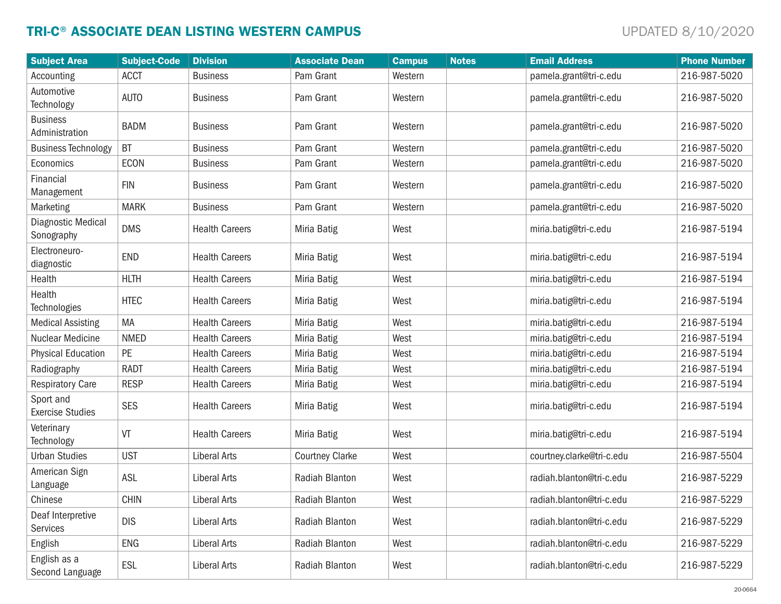# TRI-C® ASSOCIATE DEAN LISTING WESTERN CAMPUS **Example 1** with the set of the UPDATED 8/10/2020

| <b>Subject Area</b>                  | <b>Subject-Code</b> | <b>Division</b>       | <b>Associate Dean</b>  | <b>Campus</b> | <b>Notes</b> | <b>Email Address</b>      | <b>Phone Number</b> |
|--------------------------------------|---------------------|-----------------------|------------------------|---------------|--------------|---------------------------|---------------------|
| Accounting                           | <b>ACCT</b>         | <b>Business</b>       | Pam Grant              | Western       |              | pamela.grant@tri-c.edu    | 216-987-5020        |
| Automotive<br>Technology             | <b>AUTO</b>         | <b>Business</b>       | Pam Grant              | Western       |              | pamela.grant@tri-c.edu    | 216-987-5020        |
| <b>Business</b><br>Administration    | <b>BADM</b>         | <b>Business</b>       | Pam Grant              | Western       |              | pamela.grant@tri-c.edu    | 216-987-5020        |
| <b>Business Technology</b>           | <b>BT</b>           | <b>Business</b>       | Pam Grant              | Western       |              | pamela.grant@tri-c.edu    | 216-987-5020        |
| Economics                            | <b>ECON</b>         | <b>Business</b>       | Pam Grant              | Western       |              | pamela.grant@tri-c.edu    | 216-987-5020        |
| Financial<br>Management              | <b>FIN</b>          | <b>Business</b>       | Pam Grant              | Western       |              | pamela.grant@tri-c.edu    | 216-987-5020        |
| Marketing                            | <b>MARK</b>         | <b>Business</b>       | Pam Grant              | Western       |              | pamela.grant@tri-c.edu    | 216-987-5020        |
| Diagnostic Medical<br>Sonography     | <b>DMS</b>          | <b>Health Careers</b> | Miria Batig            | West          |              | miria.batig@tri-c.edu     | 216-987-5194        |
| Electroneuro-<br>diagnostic          | <b>END</b>          | <b>Health Careers</b> | Miria Batig            | West          |              | miria.batig@tri-c.edu     | 216-987-5194        |
| Health                               | <b>HLTH</b>         | <b>Health Careers</b> | Miria Batig            | West          |              | miria.batig@tri-c.edu     | 216-987-5194        |
| Health<br>Technologies               | <b>HTEC</b>         | <b>Health Careers</b> | Miria Batig            | West          |              | miria.batig@tri-c.edu     | 216-987-5194        |
| <b>Medical Assisting</b>             | MA                  | <b>Health Careers</b> | Miria Batig            | West          |              | miria.batig@tri-c.edu     | 216-987-5194        |
| Nuclear Medicine                     | <b>NMED</b>         | <b>Health Careers</b> | Miria Batig            | West          |              | miria.batig@tri-c.edu     | 216-987-5194        |
| <b>Physical Education</b>            | PE                  | <b>Health Careers</b> | Miria Batig            | West          |              | miria.batig@tri-c.edu     | 216-987-5194        |
| Radiography                          | <b>RADT</b>         | <b>Health Careers</b> | Miria Batig            | West          |              | miria.batig@tri-c.edu     | 216-987-5194        |
| <b>Respiratory Care</b>              | <b>RESP</b>         | <b>Health Careers</b> | Miria Batig            | West          |              | miria.batig@tri-c.edu     | 216-987-5194        |
| Sport and<br><b>Exercise Studies</b> | <b>SES</b>          | <b>Health Careers</b> | Miria Batig            | West          |              | miria.batig@tri-c.edu     | 216-987-5194        |
| Veterinary<br>Technology             | VT                  | <b>Health Careers</b> | Miria Batig            | West          |              | miria.batig@tri-c.edu     | 216-987-5194        |
| <b>Urban Studies</b>                 | <b>UST</b>          | <b>Liberal Arts</b>   | <b>Courtney Clarke</b> | West          |              | courtney.clarke@tri-c.edu | 216-987-5504        |
| American Sign<br>Language            | <b>ASL</b>          | <b>Liberal Arts</b>   | Radiah Blanton         | West          |              | radiah.blanton@tri-c.edu  | 216-987-5229        |
| Chinese                              | <b>CHIN</b>         | Liberal Arts          | Radiah Blanton         | West          |              | radiah.blanton@tri-c.edu  | 216-987-5229        |
| Deaf Interpretive<br><b>Services</b> | <b>DIS</b>          | Liberal Arts          | Radiah Blanton         | West          |              | radiah.blanton@tri-c.edu  | 216-987-5229        |
| English                              | ENG                 | <b>Liberal Arts</b>   | Radiah Blanton         | West          |              | radiah.blanton@tri-c.edu  | 216-987-5229        |
| English as a<br>Second Language      | ESL                 | <b>Liberal Arts</b>   | Radiah Blanton         | West          |              | radiah.blanton@tri-c.edu  | 216-987-5229        |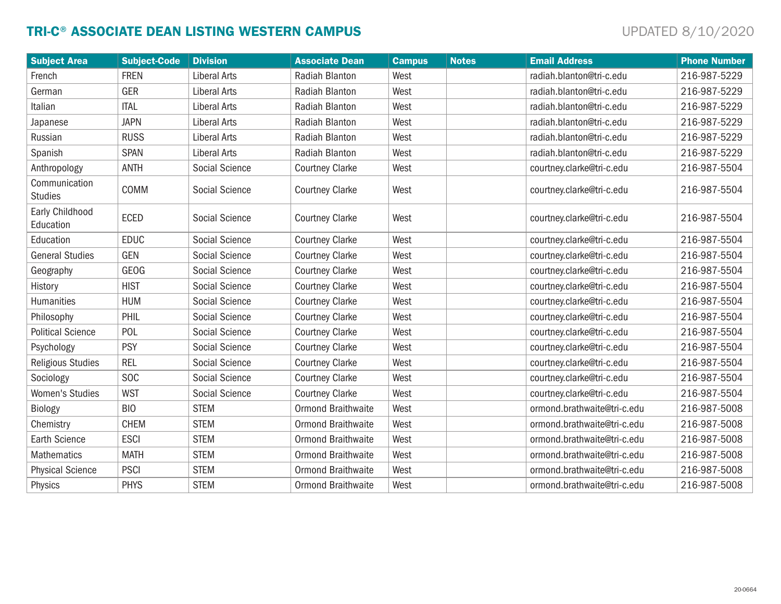# TRI-C® ASSOCIATE DEAN LISTING WESTERN CAMPUS **Example 1** with the set of the UPDATED 8/10/2020

| <b>Subject Area</b>             | <b>Subject-Code</b> | <b>Division</b>       | <b>Associate Dean</b>     | <b>Campus</b> | <b>Notes</b> | <b>Email Address</b>        | <b>Phone Number</b> |
|---------------------------------|---------------------|-----------------------|---------------------------|---------------|--------------|-----------------------------|---------------------|
| French                          | <b>FREN</b>         | <b>Liberal Arts</b>   | Radiah Blanton            | West          |              | radiah.blanton@tri-c.edu    | 216-987-5229        |
| German                          | <b>GER</b>          | <b>Liberal Arts</b>   | Radiah Blanton            | West          |              | radiah.blanton@tri-c.edu    | 216-987-5229        |
| Italian                         | <b>ITAL</b>         | <b>Liberal Arts</b>   | Radiah Blanton            | West          |              | radiah.blanton@tri-c.edu    | 216-987-5229        |
| Japanese                        | <b>JAPN</b>         | <b>Liberal Arts</b>   | Radiah Blanton            | West          |              | radiah.blanton@tri-c.edu    | 216-987-5229        |
| Russian                         | <b>RUSS</b>         | <b>Liberal Arts</b>   | Radiah Blanton            | West          |              | radiah.blanton@tri-c.edu    | 216-987-5229        |
| Spanish                         | <b>SPAN</b>         | <b>Liberal Arts</b>   | Radiah Blanton            | West          |              | radiah.blanton@tri-c.edu    | 216-987-5229        |
| Anthropology                    | <b>ANTH</b>         | Social Science        | <b>Courtney Clarke</b>    | West          |              | courtney.clarke@tri-c.edu   | 216-987-5504        |
| Communication<br><b>Studies</b> | COMM                | Social Science        | <b>Courtney Clarke</b>    | West          |              | courtney.clarke@tri-c.edu   | 216-987-5504        |
| Early Childhood<br>Education    | <b>ECED</b>         | Social Science        | <b>Courtney Clarke</b>    | West          |              | courtney.clarke@tri-c.edu   | 216-987-5504        |
| Education                       | <b>EDUC</b>         | Social Science        | <b>Courtney Clarke</b>    | West          |              | courtney.clarke@tri-c.edu   | 216-987-5504        |
| <b>General Studies</b>          | <b>GEN</b>          | Social Science        | <b>Courtney Clarke</b>    | West          |              | courtney.clarke@tri-c.edu   | 216-987-5504        |
| Geography                       | <b>GEOG</b>         | Social Science        | <b>Courtney Clarke</b>    | West          |              | courtney.clarke@tri-c.edu   | 216-987-5504        |
| History                         | <b>HIST</b>         | Social Science        | <b>Courtney Clarke</b>    | West          |              | courtney.clarke@tri-c.edu   | 216-987-5504        |
| <b>Humanities</b>               | <b>HUM</b>          | Social Science        | <b>Courtney Clarke</b>    | West          |              | courtney.clarke@tri-c.edu   | 216-987-5504        |
| Philosophy                      | PHIL                | Social Science        | <b>Courtney Clarke</b>    | West          |              | courtney.clarke@tri-c.edu   | 216-987-5504        |
| <b>Political Science</b>        | POL                 | Social Science        | <b>Courtney Clarke</b>    | West          |              | courtney.clarke@tri-c.edu   | 216-987-5504        |
| Psychology                      | <b>PSY</b>          | <b>Social Science</b> | <b>Courtney Clarke</b>    | West          |              | courtney.clarke@tri-c.edu   | 216-987-5504        |
| <b>Religious Studies</b>        | <b>REL</b>          | Social Science        | <b>Courtney Clarke</b>    | West          |              | courtney.clarke@tri-c.edu   | 216-987-5504        |
| Sociology                       | SO <sub>C</sub>     | Social Science        | <b>Courtney Clarke</b>    | West          |              | courtney.clarke@tri-c.edu   | 216-987-5504        |
| <b>Women's Studies</b>          | <b>WST</b>          | Social Science        | <b>Courtney Clarke</b>    | West          |              | courtney.clarke@tri-c.edu   | 216-987-5504        |
| Biology                         | <b>BIO</b>          | <b>STEM</b>           | <b>Ormond Braithwaite</b> | West          |              | ormond.brathwaite@tri-c.edu | 216-987-5008        |
| Chemistry                       | <b>CHEM</b>         | <b>STEM</b>           | <b>Ormond Braithwaite</b> | West          |              | ormond.brathwaite@tri-c.edu | 216-987-5008        |
| <b>Earth Science</b>            | <b>ESCI</b>         | <b>STEM</b>           | <b>Ormond Braithwaite</b> | West          |              | ormond.brathwaite@tri-c.edu | 216-987-5008        |
| <b>Mathematics</b>              | <b>MATH</b>         | <b>STEM</b>           | <b>Ormond Braithwaite</b> | West          |              | ormond.brathwaite@tri-c.edu | 216-987-5008        |
| <b>Physical Science</b>         | <b>PSCI</b>         | <b>STEM</b>           | <b>Ormond Braithwaite</b> | West          |              | ormond.brathwaite@tri-c.edu | 216-987-5008        |
| Physics                         | <b>PHYS</b>         | <b>STEM</b>           | <b>Ormond Braithwaite</b> | West          |              | ormond.brathwaite@tri-c.edu | 216-987-5008        |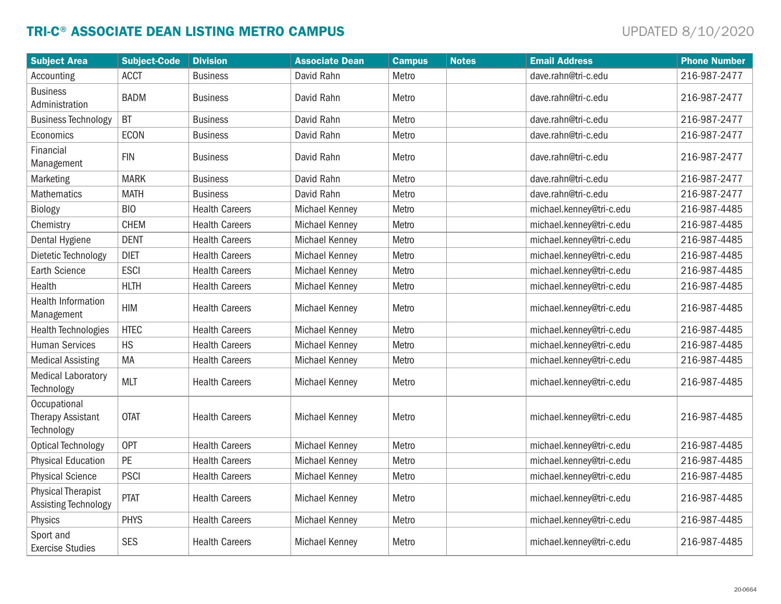# TRI-C® ASSOCIATE DEAN LISTING METRO CAMPUS **Example 10** decree the contract of the UPDATED 8/10/2020

| <b>Subject Area</b>                                    | <b>Subject-Code</b> | <b>Division</b>       | <b>Associate Dean</b> | <b>Campus</b> | <b>Notes</b> | <b>Email Address</b>     | <b>Phone Number</b> |
|--------------------------------------------------------|---------------------|-----------------------|-----------------------|---------------|--------------|--------------------------|---------------------|
| Accounting                                             | <b>ACCT</b>         | <b>Business</b>       | David Rahn            | Metro         |              | dave.rahn@tri-c.edu      | 216-987-2477        |
| <b>Business</b><br>Administration                      | <b>BADM</b>         | <b>Business</b>       | David Rahn            | Metro         |              | dave.rahn@tri-c.edu      | 216-987-2477        |
| <b>Business Technology</b>                             | <b>BT</b>           | <b>Business</b>       | David Rahn            | Metro         |              | dave.rahn@tri-c.edu      | 216-987-2477        |
| Economics                                              | <b>ECON</b>         | <b>Business</b>       | David Rahn            | Metro         |              | dave.rahn@tri-c.edu      | 216-987-2477        |
| Financial<br>Management                                | <b>FIN</b>          | <b>Business</b>       | David Rahn            | Metro         |              | dave.rahn@tri-c.edu      | 216-987-2477        |
| Marketing                                              | <b>MARK</b>         | <b>Business</b>       | David Rahn            | Metro         |              | dave.rahn@tri-c.edu      | 216-987-2477        |
| Mathematics                                            | <b>MATH</b>         | <b>Business</b>       | David Rahn            | Metro         |              | dave.rahn@tri-c.edu      | 216-987-2477        |
| Biology                                                | <b>BIO</b>          | <b>Health Careers</b> | <b>Michael Kenney</b> | Metro         |              | michael.kenney@tri-c.edu | 216-987-4485        |
| Chemistry                                              | <b>CHEM</b>         | <b>Health Careers</b> | <b>Michael Kenney</b> | Metro         |              | michael.kenney@tri-c.edu | 216-987-4485        |
| Dental Hygiene                                         | <b>DENT</b>         | <b>Health Careers</b> | <b>Michael Kenney</b> | Metro         |              | michael.kenney@tri-c.edu | 216-987-4485        |
| Dietetic Technology                                    | <b>DIET</b>         | <b>Health Careers</b> | <b>Michael Kenney</b> | Metro         |              | michael.kenney@tri-c.edu | 216-987-4485        |
| <b>Earth Science</b>                                   | <b>ESCI</b>         | <b>Health Careers</b> | <b>Michael Kenney</b> | Metro         |              | michael.kenney@tri-c.edu | 216-987-4485        |
| Health                                                 | <b>HLTH</b>         | <b>Health Careers</b> | Michael Kenney        | Metro         |              | michael.kenney@tri-c.edu | 216-987-4485        |
| <b>Health Information</b><br>Management                | <b>HIM</b>          | <b>Health Careers</b> | <b>Michael Kenney</b> | Metro         |              | michael.kenney@tri-c.edu | 216-987-4485        |
| <b>Health Technologies</b>                             | <b>HTEC</b>         | <b>Health Careers</b> | Michael Kenney        | Metro         |              | michael.kenney@tri-c.edu | 216-987-4485        |
| <b>Human Services</b>                                  | <b>HS</b>           | <b>Health Careers</b> | <b>Michael Kenney</b> | Metro         |              | michael.kenney@tri-c.edu | 216-987-4485        |
| <b>Medical Assisting</b>                               | MA                  | <b>Health Careers</b> | <b>Michael Kenney</b> | Metro         |              | michael.kenney@tri-c.edu | 216-987-4485        |
| <b>Medical Laboratory</b><br>Technology                | <b>MLT</b>          | <b>Health Careers</b> | <b>Michael Kenney</b> | Metro         |              | michael.kenney@tri-c.edu | 216-987-4485        |
| Occupational<br><b>Therapy Assistant</b><br>Technology | <b>OTAT</b>         | <b>Health Careers</b> | <b>Michael Kenney</b> | Metro         |              | michael.kenney@tri-c.edu | 216-987-4485        |
| <b>Optical Technology</b>                              | <b>OPT</b>          | <b>Health Careers</b> | <b>Michael Kenney</b> | Metro         |              | michael.kenney@tri-c.edu | 216-987-4485        |
| <b>Physical Education</b>                              | PE                  | <b>Health Careers</b> | <b>Michael Kenney</b> | Metro         |              | michael.kenney@tri-c.edu | 216-987-4485        |
| <b>Physical Science</b>                                | <b>PSCI</b>         | <b>Health Careers</b> | <b>Michael Kenney</b> | Metro         |              | michael.kenney@tri-c.edu | 216-987-4485        |
| <b>Physical Therapist</b><br>Assisting Technology      | <b>PTAT</b>         | <b>Health Careers</b> | <b>Michael Kenney</b> | Metro         |              | michael.kenney@tri-c.edu | 216-987-4485        |
| Physics                                                | <b>PHYS</b>         | <b>Health Careers</b> | <b>Michael Kenney</b> | Metro         |              | michael.kenney@tri-c.edu | 216-987-4485        |
| Sport and<br><b>Exercise Studies</b>                   | <b>SES</b>          | <b>Health Careers</b> | <b>Michael Kenney</b> | Metro         |              | michael.kenney@tri-c.edu | 216-987-4485        |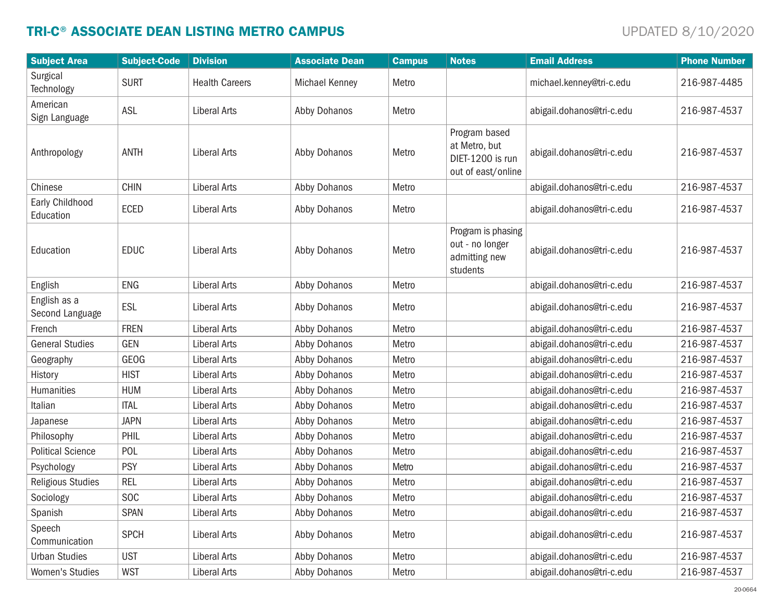# TRI-C® ASSOCIATE DEAN LISTING METRO CAMPUS **Example 10** decree the contract of the UPDATED 8/10/2020

| <b>Subject Area</b>             | <b>Subject-Code</b> | <b>Division</b>       | <b>Associate Dean</b> | <b>Campus</b> | <b>Notes</b>                                                             | <b>Email Address</b>      | <b>Phone Number</b> |
|---------------------------------|---------------------|-----------------------|-----------------------|---------------|--------------------------------------------------------------------------|---------------------------|---------------------|
| Surgical<br>Technology          | <b>SURT</b>         | <b>Health Careers</b> | Michael Kenney        | Metro         |                                                                          | michael.kenney@tri-c.edu  | 216-987-4485        |
| American<br>Sign Language       | ASL                 | <b>Liberal Arts</b>   | Abby Dohanos          | Metro         |                                                                          | abigail.dohanos@tri-c.edu | 216-987-4537        |
| Anthropology                    | <b>ANTH</b>         | <b>Liberal Arts</b>   | Abby Dohanos          | Metro         | Program based<br>at Metro, but<br>DIET-1200 is run<br>out of east/online | abigail.dohanos@tri-c.edu | 216-987-4537        |
| Chinese                         | <b>CHIN</b>         | <b>Liberal Arts</b>   | Abby Dohanos          | Metro         |                                                                          | abigail.dohanos@tri-c.edu | 216-987-4537        |
| Early Childhood<br>Education    | ECED                | <b>Liberal Arts</b>   | Abby Dohanos          | Metro         |                                                                          | abigail.dohanos@tri-c.edu | 216-987-4537        |
| Education                       | <b>EDUC</b>         | <b>Liberal Arts</b>   | Abby Dohanos          | Metro         | Program is phasing<br>out - no longer<br>admitting new<br>students       | abigail.dohanos@tri-c.edu | 216-987-4537        |
| English                         | <b>ENG</b>          | Liberal Arts          | Abby Dohanos          | Metro         |                                                                          | abigail.dohanos@tri-c.edu | 216-987-4537        |
| English as a<br>Second Language | ESL                 | <b>Liberal Arts</b>   | Abby Dohanos          | Metro         |                                                                          | abigail.dohanos@tri-c.edu | 216-987-4537        |
| French                          | <b>FREN</b>         | <b>Liberal Arts</b>   | Abby Dohanos          | Metro         |                                                                          | abigail.dohanos@tri-c.edu | 216-987-4537        |
| <b>General Studies</b>          | GEN                 | <b>Liberal Arts</b>   | Abby Dohanos          | Metro         |                                                                          | abigail.dohanos@tri-c.edu | 216-987-4537        |
| Geography                       | <b>GEOG</b>         | <b>Liberal Arts</b>   | Abby Dohanos          | Metro         |                                                                          | abigail.dohanos@tri-c.edu | 216-987-4537        |
| History                         | <b>HIST</b>         | <b>Liberal Arts</b>   | Abby Dohanos          | Metro         |                                                                          | abigail.dohanos@tri-c.edu | 216-987-4537        |
| Humanities                      | <b>HUM</b>          | <b>Liberal Arts</b>   | Abby Dohanos          | Metro         |                                                                          | abigail.dohanos@tri-c.edu | 216-987-4537        |
| Italian                         | <b>ITAL</b>         | <b>Liberal Arts</b>   | Abby Dohanos          | Metro         |                                                                          | abigail.dohanos@tri-c.edu | 216-987-4537        |
| Japanese                        | <b>JAPN</b>         | <b>Liberal Arts</b>   | Abby Dohanos          | Metro         |                                                                          | abigail.dohanos@tri-c.edu | 216-987-4537        |
| Philosophy                      | PHIL                | <b>Liberal Arts</b>   | Abby Dohanos          | Metro         |                                                                          | abigail.dohanos@tri-c.edu | 216-987-4537        |
| <b>Political Science</b>        | POL                 | Liberal Arts          | Abby Dohanos          | Metro         |                                                                          | abigail.dohanos@tri-c.edu | 216-987-4537        |
| Psychology                      | <b>PSY</b>          | <b>Liberal Arts</b>   | Abby Dohanos          | Metro         |                                                                          | abigail.dohanos@tri-c.edu | 216-987-4537        |
| Religious Studies               | <b>REL</b>          | Liberal Arts          | Abby Dohanos          | Metro         |                                                                          | abigail.dohanos@tri-c.edu | 216-987-4537        |
| Sociology                       | <b>SOC</b>          | Liberal Arts          | Abby Dohanos          | Metro         |                                                                          | abigail.dohanos@tri-c.edu | 216-987-4537        |
| Spanish                         | <b>SPAN</b>         | Liberal Arts          | Abby Dohanos          | Metro         |                                                                          | abigail.dohanos@tri-c.edu | 216-987-4537        |
| Speech<br>Communication         | <b>SPCH</b>         | Liberal Arts          | Abby Dohanos          | Metro         |                                                                          | abigail.dohanos@tri-c.edu | 216-987-4537        |
| <b>Urban Studies</b>            | <b>UST</b>          | <b>Liberal Arts</b>   | Abby Dohanos          | Metro         |                                                                          | abigail.dohanos@tri-c.edu | 216-987-4537        |
| Women's Studies                 | <b>WST</b>          | Liberal Arts          | Abby Dohanos          | Metro         |                                                                          | abigail.dohanos@tri-c.edu | 216-987-4537        |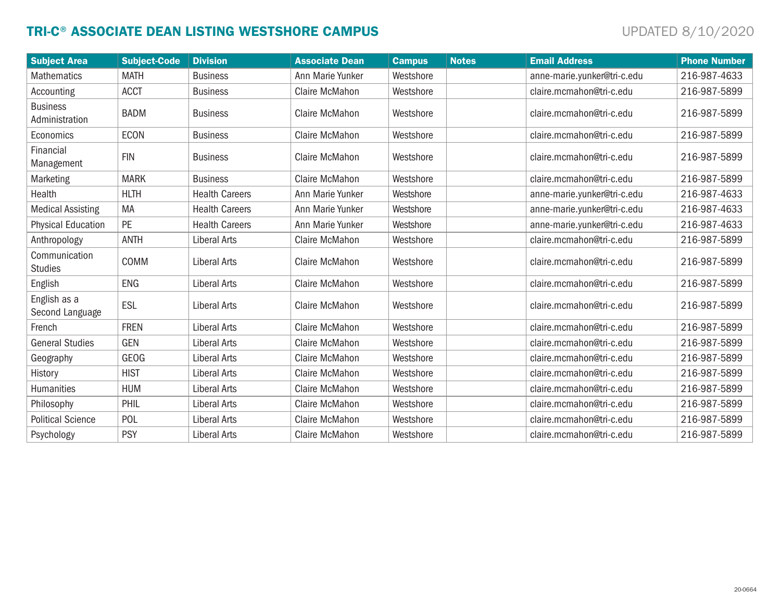# TRI-C® ASSOCIATE DEAN LISTING WESTSHORE CAMPUS **Examples** UPDATED 8/10/2020

| <b>Subject Area</b>               | <b>Subject-Code</b> | <b>Division</b>       | <b>Associate Dean</b> | <b>Campus</b> | <b>Notes</b> | <b>Email Address</b>        | <b>Phone Number</b> |
|-----------------------------------|---------------------|-----------------------|-----------------------|---------------|--------------|-----------------------------|---------------------|
| <b>Mathematics</b>                | <b>MATH</b>         | <b>Business</b>       | Ann Marie Yunker      | Westshore     |              | anne-marie.yunker@tri-c.edu | 216-987-4633        |
| Accounting                        | <b>ACCT</b>         | <b>Business</b>       | <b>Claire McMahon</b> | Westshore     |              | claire.mcmahon@tri-c.edu    | 216-987-5899        |
| <b>Business</b><br>Administration | <b>BADM</b>         | <b>Business</b>       | Claire McMahon        | Westshore     |              | claire.mcmahon@tri-c.edu    | 216-987-5899        |
| Economics                         | <b>ECON</b>         | <b>Business</b>       | Claire McMahon        | Westshore     |              | claire.mcmahon@tri-c.edu    | 216-987-5899        |
| Financial<br>Management           | <b>FIN</b>          | <b>Business</b>       | Claire McMahon        | Westshore     |              | claire.mcmahon@tri-c.edu    | 216-987-5899        |
| Marketing                         | <b>MARK</b>         | <b>Business</b>       | Claire McMahon        | Westshore     |              | claire.mcmahon@tri-c.edu    | 216-987-5899        |
| Health                            | <b>HLTH</b>         | <b>Health Careers</b> | Ann Marie Yunker      | Westshore     |              | anne-marie.yunker@tri-c.edu | 216-987-4633        |
| <b>Medical Assisting</b>          | MA                  | <b>Health Careers</b> | Ann Marie Yunker      | Westshore     |              | anne-marie.yunker@tri-c.edu | 216-987-4633        |
| <b>Physical Education</b>         | <b>PE</b>           | <b>Health Careers</b> | Ann Marie Yunker      | Westshore     |              | anne-marie.yunker@tri-c.edu | 216-987-4633        |
| Anthropology                      | <b>ANTH</b>         | Liberal Arts          | <b>Claire McMahon</b> | Westshore     |              | claire.mcmahon@tri-c.edu    | 216-987-5899        |
| Communication<br><b>Studies</b>   | COMM                | Liberal Arts          | <b>Claire McMahon</b> | Westshore     |              | claire.mcmahon@tri-c.edu    | 216-987-5899        |
| English                           | <b>ENG</b>          | Liberal Arts          | <b>Claire McMahon</b> | Westshore     |              | claire.mcmahon@tri-c.edu    | 216-987-5899        |
| English as a<br>Second Language   | ESL                 | Liberal Arts          | <b>Claire McMahon</b> | Westshore     |              | claire.mcmahon@tri-c.edu    | 216-987-5899        |
| French                            | <b>FREN</b>         | <b>Liberal Arts</b>   | <b>Claire McMahon</b> | Westshore     |              | claire.mcmahon@tri-c.edu    | 216-987-5899        |
| <b>General Studies</b>            | <b>GEN</b>          | Liberal Arts          | Claire McMahon        | Westshore     |              | claire.mcmahon@tri-c.edu    | 216-987-5899        |
| Geography                         | <b>GEOG</b>         | Liberal Arts          | <b>Claire McMahon</b> | Westshore     |              | claire.mcmahon@tri-c.edu    | 216-987-5899        |
| History                           | <b>HIST</b>         | Liberal Arts          | Claire McMahon        | Westshore     |              | claire.mcmahon@tri-c.edu    | 216-987-5899        |
| Humanities                        | <b>HUM</b>          | Liberal Arts          | Claire McMahon        | Westshore     |              | claire.mcmahon@tri-c.edu    | 216-987-5899        |
| Philosophy                        | PHIL                | <b>Liberal Arts</b>   | Claire McMahon        | Westshore     |              | claire.mcmahon@tri-c.edu    | 216-987-5899        |
| <b>Political Science</b>          | POL                 | Liberal Arts          | <b>Claire McMahon</b> | Westshore     |              | claire.mcmahon@tri-c.edu    | 216-987-5899        |
| Psychology                        | <b>PSY</b>          | Liberal Arts          | <b>Claire McMahon</b> | Westshore     |              | claire.mcmahon@tri-c.edu    | 216-987-5899        |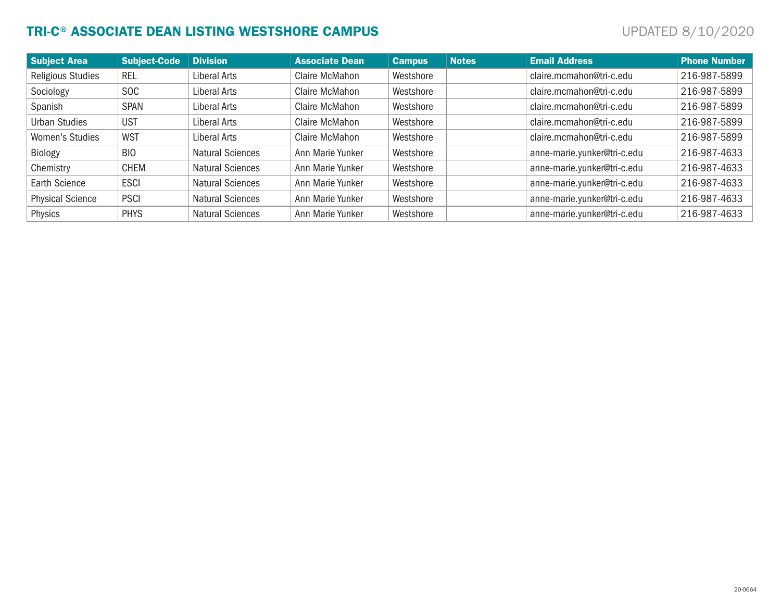# TRI-C® ASSOCIATE DEAN LISTING WESTSHORE CAMPUS **Examples** UPDATED 8/10/2020

| <b>Subject Area</b>      | <b>Subject-Code</b> | <b>Division</b>         | <b>Associate Dean</b> | <b>Campus</b> | <b>Notes</b> | <b>Email Address</b>        | <b>Phone Number</b> |
|--------------------------|---------------------|-------------------------|-----------------------|---------------|--------------|-----------------------------|---------------------|
| <b>Religious Studies</b> | REL                 | Liberal Arts            | Claire McMahon        | Westshore     |              | claire.mcmahon@tri-c.edu    | 216-987-5899        |
| Sociology                | <b>SOC</b>          | Liberal Arts            | Claire McMahon        | Westshore     |              | claire.mcmahon@tri-c.edu    | 216-987-5899        |
| Spanish                  | <b>SPAN</b>         | Liberal Arts            | Claire McMahon        | Westshore     |              | claire.mcmahon@tri-c.edu    | 216-987-5899        |
| <b>Urban Studies</b>     | <b>UST</b>          | Liberal Arts            | Claire McMahon        | Westshore     |              | claire.mcmahon@tri-c.edu    | 216-987-5899        |
| Women's Studies          | <b>WST</b>          | Liberal Arts            | Claire McMahon        | Westshore     |              | claire.mcmahon@tri-c.edu    | 216-987-5899        |
| Biology                  | <b>BIO</b>          | <b>Natural Sciences</b> | Ann Marie Yunker      | Westshore     |              | anne-marie.yunker@tri-c.edu | 216-987-4633        |
| Chemistry                | <b>CHEM</b>         | <b>Natural Sciences</b> | Ann Marie Yunker      | Westshore     |              | anne-marie.yunker@tri-c.edu | 216-987-4633        |
| <b>Earth Science</b>     | <b>ESCI</b>         | <b>Natural Sciences</b> | Ann Marie Yunker      | Westshore     |              | anne-marie.yunker@tri-c.edu | 216-987-4633        |
| <b>Physical Science</b>  | <b>PSCI</b>         | <b>Natural Sciences</b> | Ann Marie Yunker      | Westshore     |              | anne-marie.yunker@tri-c.edu | 216-987-4633        |
| Physics                  | <b>PHYS</b>         | <b>Natural Sciences</b> | Ann Marie Yunker      | Westshore     |              | anne-marie.yunker@tri-c.edu | 216-987-4633        |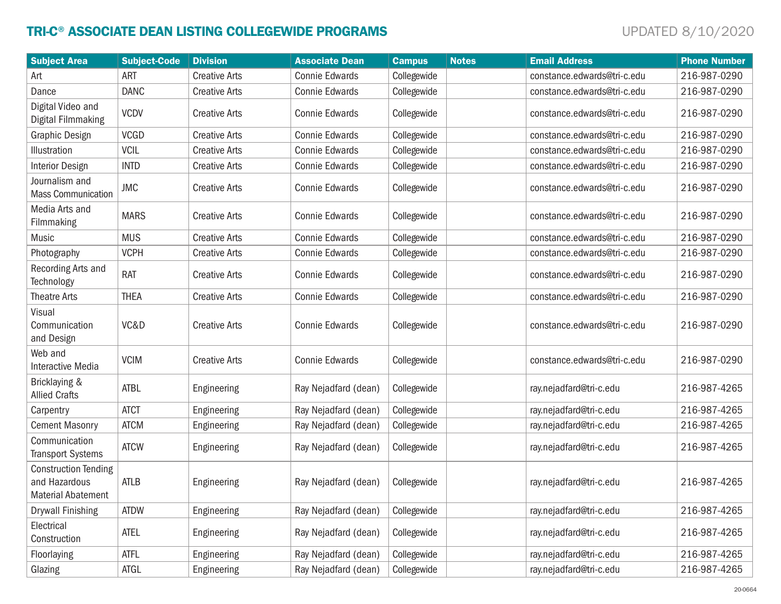# TRI-C® ASSOCIATE DEAN LISTING COLLEGEWIDE PROGRAMS UPDATED 8/10/2020

| <b>Subject Area</b>                                                       | <b>Subject-Code</b> | <b>Division</b>      | <b>Associate Dean</b> | <b>Campus</b> | <b>Notes</b> | <b>Email Address</b>        | <b>Phone Number</b> |
|---------------------------------------------------------------------------|---------------------|----------------------|-----------------------|---------------|--------------|-----------------------------|---------------------|
| Art                                                                       | <b>ART</b>          | <b>Creative Arts</b> | <b>Connie Edwards</b> | Collegewide   |              | constance.edwards@tri-c.edu | 216-987-0290        |
| Dance                                                                     | <b>DANC</b>         | <b>Creative Arts</b> | <b>Connie Edwards</b> | Collegewide   |              | constance.edwards@tri-c.edu | 216-987-0290        |
| Digital Video and<br>Digital Filmmaking                                   | <b>VCDV</b>         | <b>Creative Arts</b> | <b>Connie Edwards</b> | Collegewide   |              | constance.edwards@tri-c.edu | 216-987-0290        |
| Graphic Design                                                            | <b>VCGD</b>         | <b>Creative Arts</b> | <b>Connie Edwards</b> | Collegewide   |              | constance.edwards@tri-c.edu | 216-987-0290        |
| Illustration                                                              | <b>VCIL</b>         | <b>Creative Arts</b> | <b>Connie Edwards</b> | Collegewide   |              | constance.edwards@tri-c.edu | 216-987-0290        |
| <b>Interior Design</b>                                                    | <b>INTD</b>         | <b>Creative Arts</b> | <b>Connie Edwards</b> | Collegewide   |              | constance.edwards@tri-c.edu | 216-987-0290        |
| Journalism and<br><b>Mass Communication</b>                               | <b>JMC</b>          | <b>Creative Arts</b> | <b>Connie Edwards</b> | Collegewide   |              | constance.edwards@tri-c.edu | 216-987-0290        |
| Media Arts and<br>Filmmaking                                              | <b>MARS</b>         | <b>Creative Arts</b> | <b>Connie Edwards</b> | Collegewide   |              | constance.edwards@tri-c.edu | 216-987-0290        |
| Music                                                                     | <b>MUS</b>          | <b>Creative Arts</b> | <b>Connie Edwards</b> | Collegewide   |              | constance.edwards@tri-c.edu | 216-987-0290        |
| Photography                                                               | <b>VCPH</b>         | <b>Creative Arts</b> | <b>Connie Edwards</b> | Collegewide   |              | constance.edwards@tri-c.edu | 216-987-0290        |
| Recording Arts and<br>Technology                                          | <b>RAT</b>          | <b>Creative Arts</b> | <b>Connie Edwards</b> | Collegewide   |              | constance.edwards@tri-c.edu | 216-987-0290        |
| <b>Theatre Arts</b>                                                       | <b>THEA</b>         | <b>Creative Arts</b> | <b>Connie Edwards</b> | Collegewide   |              | constance.edwards@tri-c.edu | 216-987-0290        |
| Visual<br>Communication<br>and Design                                     | VC&D                | <b>Creative Arts</b> | <b>Connie Edwards</b> | Collegewide   |              | constance.edwards@tri-c.edu | 216-987-0290        |
| Web and<br>Interactive Media                                              | <b>VCIM</b>         | <b>Creative Arts</b> | <b>Connie Edwards</b> | Collegewide   |              | constance.edwards@tri-c.edu | 216-987-0290        |
| Bricklaying &<br><b>Allied Crafts</b>                                     | <b>ATBL</b>         | Engineering          | Ray Nejadfard (dean)  | Collegewide   |              | ray.nejadfard@tri-c.edu     | 216-987-4265        |
| Carpentry                                                                 | <b>ATCT</b>         | Engineering          | Ray Nejadfard (dean)  | Collegewide   |              | ray.nejadfard@tri-c.edu     | 216-987-4265        |
| <b>Cement Masonry</b>                                                     | <b>ATCM</b>         | Engineering          | Ray Nejadfard (dean)  | Collegewide   |              | ray.nejadfard@tri-c.edu     | 216-987-4265        |
| Communication<br><b>Transport Systems</b>                                 | <b>ATCW</b>         | Engineering          | Ray Nejadfard (dean)  | Collegewide   |              | ray.nejadfard@tri-c.edu     | 216-987-4265        |
| <b>Construction Tending</b><br>and Hazardous<br><b>Material Abatement</b> | <b>ATLB</b>         | Engineering          | Ray Nejadfard (dean)  | Collegewide   |              | ray.nejadfard@tri-c.edu     | 216-987-4265        |
| <b>Drywall Finishing</b>                                                  | <b>ATDW</b>         | Engineering          | Ray Nejadfard (dean)  | Collegewide   |              | ray.nejadfard@tri-c.edu     | 216-987-4265        |
| Electrical<br>Construction                                                | <b>ATEL</b>         | Engineering          | Ray Nejadfard (dean)  | Collegewide   |              | ray.nejadfard@tri-c.edu     | 216-987-4265        |
| Floorlaying                                                               | <b>ATFL</b>         | Engineering          | Ray Nejadfard (dean)  | Collegewide   |              | ray.nejadfard@tri-c.edu     | 216-987-4265        |
| Glazing                                                                   | ATGL                | Engineering          | Ray Nejadfard (dean)  | Collegewide   |              | ray.nejadfard@tri-c.edu     | 216-987-4265        |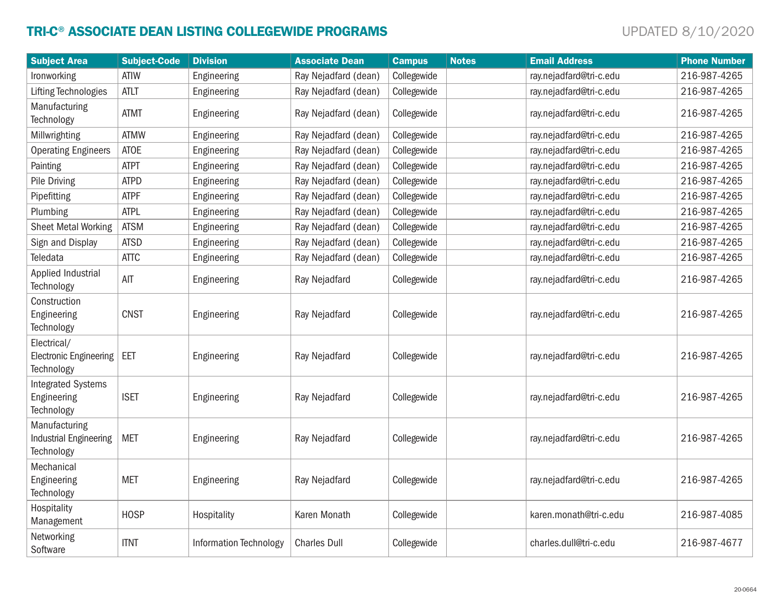# TRI-C® ASSOCIATE DEAN LISTING COLLEGEWIDE PROGRAMS UPDATED 8/10/2020

| <b>Subject Area</b>                                          | <b>Subject-Code</b> | <b>Division</b>               | <b>Associate Dean</b> | <b>Campus</b> | <b>Notes</b> | <b>Email Address</b>    | <b>Phone Number</b> |
|--------------------------------------------------------------|---------------------|-------------------------------|-----------------------|---------------|--------------|-------------------------|---------------------|
| Ironworking                                                  | <b>ATIW</b>         | Engineering                   | Ray Nejadfard (dean)  | Collegewide   |              | ray.nejadfard@tri-c.edu | 216-987-4265        |
| <b>Lifting Technologies</b>                                  | <b>ATLT</b>         | Engineering                   | Ray Nejadfard (dean)  | Collegewide   |              | ray.nejadfard@tri-c.edu | 216-987-4265        |
| Manufacturing<br>Technology                                  | <b>ATMT</b>         | Engineering                   | Ray Nejadfard (dean)  | Collegewide   |              | ray.nejadfard@tri-c.edu | 216-987-4265        |
| Millwrighting                                                | <b>ATMW</b>         | Engineering                   | Ray Nejadfard (dean)  | Collegewide   |              | ray.nejadfard@tri-c.edu | 216-987-4265        |
| <b>Operating Engineers</b>                                   | <b>ATOE</b>         | Engineering                   | Ray Nejadfard (dean)  | Collegewide   |              | ray.nejadfard@tri-c.edu | 216-987-4265        |
| Painting                                                     | <b>ATPT</b>         | Engineering                   | Ray Nejadfard (dean)  | Collegewide   |              | ray.nejadfard@tri-c.edu | 216-987-4265        |
| Pile Driving                                                 | <b>ATPD</b>         | Engineering                   | Ray Nejadfard (dean)  | Collegewide   |              | ray.nejadfard@tri-c.edu | 216-987-4265        |
| Pipefitting                                                  | <b>ATPF</b>         | Engineering                   | Ray Nejadfard (dean)  | Collegewide   |              | ray.nejadfard@tri-c.edu | 216-987-4265        |
| Plumbing                                                     | <b>ATPL</b>         | Engineering                   | Ray Nejadfard (dean)  | Collegewide   |              | ray.nejadfard@tri-c.edu | 216-987-4265        |
| <b>Sheet Metal Working</b>                                   | <b>ATSM</b>         | Engineering                   | Ray Nejadfard (dean)  | Collegewide   |              | ray.nejadfard@tri-c.edu | 216-987-4265        |
| Sign and Display                                             | <b>ATSD</b>         | Engineering                   | Ray Nejadfard (dean)  | Collegewide   |              | ray.nejadfard@tri-c.edu | 216-987-4265        |
| Teledata                                                     | <b>ATTC</b>         | Engineering                   | Ray Nejadfard (dean)  | Collegewide   |              | ray.nejadfard@tri-c.edu | 216-987-4265        |
| Applied Industrial<br>Technology                             | AIT                 | Engineering                   | Ray Nejadfard         | Collegewide   |              | ray.nejadfard@tri-c.edu | 216-987-4265        |
| Construction<br>Engineering<br>Technology                    | <b>CNST</b>         | Engineering                   | Ray Nejadfard         | Collegewide   |              | ray.nejadfard@tri-c.edu | 216-987-4265        |
| Electrical/<br><b>Electronic Engineering</b><br>Technology   | EET                 | Engineering                   | Ray Nejadfard         | Collegewide   |              | ray.nejadfard@tri-c.edu | 216-987-4265        |
| <b>Integrated Systems</b><br>Engineering<br>Technology       | <b>ISET</b>         | Engineering                   | Ray Nejadfard         | Collegewide   |              | ray.nejadfard@tri-c.edu | 216-987-4265        |
| Manufacturing<br><b>Industrial Engineering</b><br>Technology | <b>MET</b>          | Engineering                   | Ray Nejadfard         | Collegewide   |              | ray.nejadfard@tri-c.edu | 216-987-4265        |
| Mechanical<br>Engineering<br>Technology                      | <b>MET</b>          | Engineering                   | Ray Nejadfard         | Collegewide   |              | ray.nejadfard@tri-c.edu | 216-987-4265        |
| Hospitality<br>Management                                    | <b>HOSP</b>         | Hospitality                   | Karen Monath          | Collegewide   |              | karen.monath@tri-c.edu  | 216-987-4085        |
| Networking<br>Software                                       | <b>ITNT</b>         | <b>Information Technology</b> | <b>Charles Dull</b>   | Collegewide   |              | charles.dull@tri-c.edu  | 216-987-4677        |